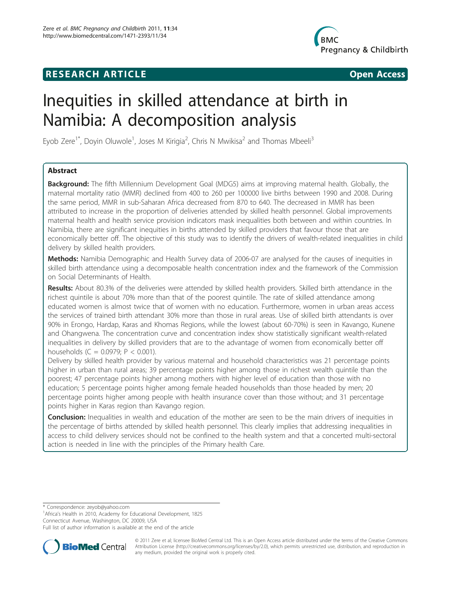# **RESEARCH ARTICLE Example 2008 CONSIDERING CONSIDERING CONSIDERING CONSIDERING CONSIDERING CONSIDERING CONSIDERING CONSIDERING CONSIDERING CONSIDERING CONSIDERING CONSIDERING CONSIDERING CONSIDERING CONSIDERING CONSIDE**



# Inequities in skilled attendance at birth in Namibia: A decomposition analysis

Eyob Zere<sup>1\*</sup>, Doyin Oluwole<sup>1</sup>, Joses M Kirigia<sup>2</sup>, Chris N Mwikisa<sup>2</sup> and Thomas Mbeeli<sup>3</sup>

# Abstract

**Background:** The fifth Millennium Development Goal (MDG5) aims at improving maternal health. Globally, the maternal mortality ratio (MMR) declined from 400 to 260 per 100000 live births between 1990 and 2008. During the same period, MMR in sub-Saharan Africa decreased from 870 to 640. The decreased in MMR has been attributed to increase in the proportion of deliveries attended by skilled health personnel. Global improvements maternal health and health service provision indicators mask inequalities both between and within countries. In Namibia, there are significant inequities in births attended by skilled providers that favour those that are economically better off. The objective of this study was to identify the drivers of wealth-related inequalities in child delivery by skilled health providers.

Methods: Namibia Demographic and Health Survey data of 2006-07 are analysed for the causes of inequities in skilled birth attendance using a decomposable health concentration index and the framework of the Commission on Social Determinants of Health.

Results: About 80.3% of the deliveries were attended by skilled health providers. Skilled birth attendance in the richest quintile is about 70% more than that of the poorest quintile. The rate of skilled attendance among educated women is almost twice that of women with no education. Furthermore, women in urban areas access the services of trained birth attendant 30% more than those in rural areas. Use of skilled birth attendants is over 90% in Erongo, Hardap, Karas and Khomas Regions, while the lowest (about 60-70%) is seen in Kavango, Kunene and Ohangwena. The concentration curve and concentration index show statistically significant wealth-related inequalities in delivery by skilled providers that are to the advantage of women from economically better off households (C = 0.0979;  $P < 0.001$ ).

Delivery by skilled health provider by various maternal and household characteristics was 21 percentage points higher in urban than rural areas; 39 percentage points higher among those in richest wealth quintile than the poorest; 47 percentage points higher among mothers with higher level of education than those with no education; 5 percentage points higher among female headed households than those headed by men; 20 percentage points higher among people with health insurance cover than those without; and 31 percentage points higher in Karas region than Kavango region.

**Conclusion:** Inequalities in wealth and education of the mother are seen to be the main drivers of inequities in the percentage of births attended by skilled health personnel. This clearly implies that addressing inequalities in access to child delivery services should not be confined to the health system and that a concerted multi-sectoral action is needed in line with the principles of the Primary health Care.

\* Correspondence: [zeyob@yahoo.com](mailto:zeyob@yahoo.com)

<sup>1</sup> Africa's Health in 2010, Academy for Educational Development, 1825 Connecticut Avenue, Washington, DC 20009, USA

Full list of author information is available at the end of the article



© 2011 Zere et al; licensee BioMed Central Ltd. This is an Open Access article distributed under the terms of the Creative Commons Attribution License [\(http://creativecommons.org/licenses/by/2.0](http://creativecommons.org/licenses/by/2.0)), which permits unrestricted use, distribution, and reproduction in any medium, provided the original work is properly cited.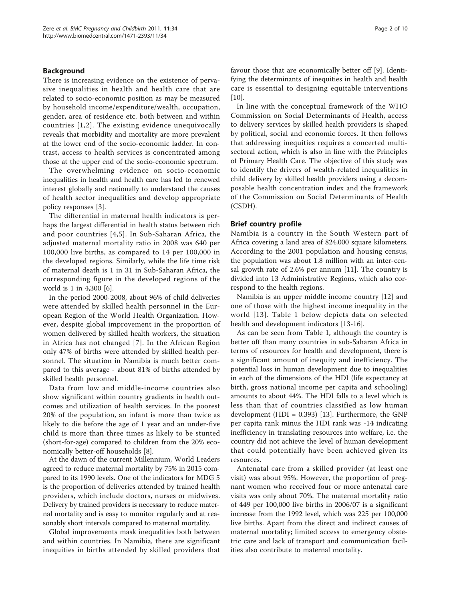# Background

There is increasing evidence on the existence of pervasive inequalities in health and health care that are related to socio-economic position as may be measured by household income/expenditure/wealth, occupation, gender, area of residence etc. both between and within countries [[1,2](#page-8-0)]. The existing evidence unequivocally reveals that morbidity and mortality are more prevalent at the lower end of the socio-economic ladder. In contrast, access to health services is concentrated among those at the upper end of the socio-economic spectrum.

The overwhelming evidence on socio-economic inequalities in health and health care has led to renewed interest globally and nationally to understand the causes of health sector inequalities and develop appropriate policy responses [[3\]](#page-8-0).

The differential in maternal health indicators is perhaps the largest differential in health status between rich and poor countries [[4](#page-8-0),[5\]](#page-8-0). In Sub-Saharan Africa, the adjusted maternal mortality ratio in 2008 was 640 per 100,000 live births, as compared to 14 per 100,000 in the developed regions. Similarly, while the life time risk of maternal death is 1 in 31 in Sub-Saharan Africa, the corresponding figure in the developed regions of the world is 1 in 4,300 [\[6](#page-8-0)].

In the period 2000-2008, about 96% of child deliveries were attended by skilled health personnel in the European Region of the World Health Organization. However, despite global improvement in the proportion of women delivered by skilled health workers, the situation in Africa has not changed [[7](#page-8-0)]. In the African Region only 47% of births were attended by skilled health personnel. The situation in Namibia is much better compared to this average - about 81% of births attended by skilled health personnel.

Data from low and middle-income countries also show significant within country gradients in health outcomes and utilization of health services. In the poorest 20% of the population, an infant is more than twice as likely to die before the age of 1 year and an under-five child is more than three times as likely to be stunted (short-for-age) compared to children from the 20% economically better-off households [[8\]](#page-8-0).

At the dawn of the current Millennium, World Leaders agreed to reduce maternal mortality by 75% in 2015 compared to its 1990 levels. One of the indicators for MDG 5 is the proportion of deliveries attended by trained health providers, which include doctors, nurses or midwives. Delivery by trained providers is necessary to reduce maternal mortality and is easy to monitor regularly and at reasonably short intervals compared to maternal mortality.

Global improvements mask inequalities both between and within countries. In Namibia, there are significant inequities in births attended by skilled providers that favour those that are economically better off [[9\]](#page-8-0). Identifying the determinants of inequities in health and health care is essential to designing equitable interventions  $[10]$  $[10]$ .

In line with the conceptual framework of the WHO Commission on Social Determinants of Health, access to delivery services by skilled health providers is shaped by political, social and economic forces. It then follows that addressing inequities requires a concerted multisectoral action, which is also in line with the Principles of Primary Health Care. The objective of this study was to identify the drivers of wealth-related inequalities in child delivery by skilled health providers using a decomposable health concentration index and the framework of the Commission on Social Determinants of Health (CSDH).

# Brief country profile

Namibia is a country in the South Western part of Africa covering a land area of 824,000 square kilometers. According to the 2001 population and housing census, the population was about 1.8 million with an inter-censal growth rate of 2.6% per annum [[11\]](#page-8-0). The country is divided into 13 Administrative Regions, which also correspond to the health regions.

Namibia is an upper middle income country [[12\]](#page-8-0) and one of those with the highest income inequality in the world [[13\]](#page-8-0). Table [1](#page-2-0) below depicts data on selected health and development indicators [\[13-16](#page-8-0)].

As can be seen from Table [1,](#page-2-0) although the country is better off than many countries in sub-Saharan Africa in terms of resources for health and development, there is a significant amount of inequity and inefficiency. The potential loss in human development due to inequalities in each of the dimensions of the HDI (life expectancy at birth, gross national income per capita and schooling) amounts to about 44%. The HDI falls to a level which is less than that of countries classified as low human development (HDI =  $0.393$ ) [[13\]](#page-8-0). Furthermore, the GNP per capita rank minus the HDI rank was -14 indicating inefficiency in translating resources into welfare, i.e. the country did not achieve the level of human development that could potentially have been achieved given its resources.

Antenatal care from a skilled provider (at least one visit) was about 95%. However, the proportion of pregnant women who received four or more antenatal care visits was only about 70%. The maternal mortality ratio of 449 per 100,000 live births in 2006/07 is a significant increase from the 1992 level, which was 225 per 100,000 live births. Apart from the direct and indirect causes of maternal mortality; limited access to emergency obstetric care and lack of transport and communication facilities also contribute to maternal mortality.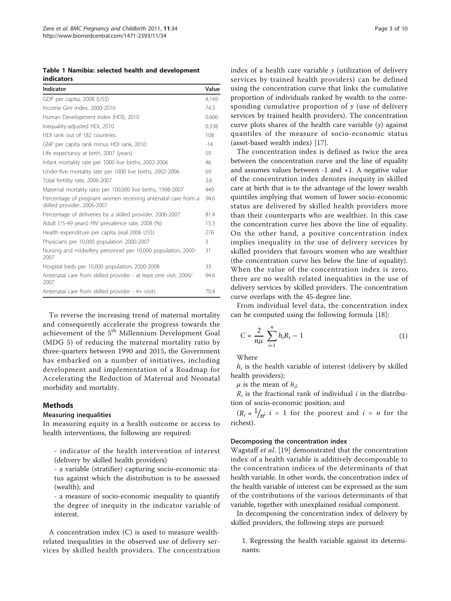<span id="page-2-0"></span>Table 1 Namibia: selected health and development indicators

| Indicator                                                                                   | Value |
|---------------------------------------------------------------------------------------------|-------|
| GDP per capita, 2008 (US\$)                                                                 | 4.149 |
| Income Gini index, 2000-2010                                                                | 74.3  |
| Human Development Index (HDI), 2010                                                         | 0.606 |
| Inequality-adjusted HDI, 2010                                                               | 0.338 |
| HDI rank out of 182 countries                                                               | 108   |
| GNP per capita rank minus HDI rank, 2010                                                    | $-14$ |
| Life expectancy at birth, 2007 (years)                                                      | 59    |
| Infant mortality rate per 1000 live births, 2002-2006                                       | 46    |
| Under-five mortality rate per 1000 live births, 2002-2006                                   | 69    |
| Total fertility rate, 2006-2007                                                             | 3.6   |
| Maternal mortality ratio per 100,000 live births, 1998-2007                                 | 449   |
| Percentage of pregnant women receiving antenatal care from a<br>skilled provider, 2006-2007 | 94.6  |
| Percentage of deliveries by a skilled provider, 2006-2007                                   | 81.4  |
| Adult (15-49 years) HIV prevalence rate, 2008 (%)                                           | 15.3  |
| Health expenditure per capita (real 2006 US\$)                                              | 276   |
| Physicians per 10,000 population 2000-2007                                                  | 3     |
| Nursing and midwifery personnel per 10,000 population, 2000-<br>2007                        | 31    |
| Hospital beds per 10,000 population, 2000-2008                                              | 33    |
| Antenatal care from skilled provider - at least one visit, 2006/<br>2007                    | 94.6  |
| Antenatal care from skilled provider - 4+ visits                                            | 70.4  |

To reverse the increasing trend of maternal mortality and consequently accelerate the progress towards the achievement of the 5<sup>th</sup> Millennium Development Goal (MDG 5) of reducing the maternal mortality ratio by three-quarters between 1990 and 2015, the Government has embarked on a number of initiatives, including development and implementation of a Roadmap for Accelerating the Reduction of Maternal and Neonatal morbidity and mortality.

# Methods

# Measuring inequalities

In measuring equity in a health outcome or access to health interventions, the following are required:

- indicator of the health intervention of interest (delivery by skilled health providers)

- a variable (stratifier) capturing socio-economic status against which the distribution is to be assessed (wealth); and

- a measure of socio-economic inequality to quantify the degree of inequity in the indicator variable of interest.

A concentration index (C) is used to measure wealthrelated inequalities in the observed use of delivery services by skilled health providers. The concentration index of a health care variable  $y$  (utilization of delivery services by trained health providers) can be defined using the concentration curve that links the cumulative proportion of individuals ranked by wealth to the corresponding cumulative proportion of  $y$  (use of delivery services by trained health providers). The concentration curve plots shares of the health care variable  $(y)$  against quantiles of the measure of socio-economic status (asset-based wealth index) [[17](#page-8-0)].

The concentration index is defined as twice the area between the concentration curve and the line of equality and assumes values between -1 and +1. A negative value of the concentration index denotes inequity in skilled care at birth that is to the advantage of the lower wealth quintiles implying that women of lower socio-economic status are delivered by skilled health providers more than their counterparts who are wealthier. In this case the concentration curve lies above the line of equality. On the other hand, a positive concentration index implies inequality in the use of delivery services by skilled providers that favours women who are wealthier (the concentration curve lies below the line of equality). When the value of the concentration index is zero, there are no wealth related inequalities in the use of delivery services by skilled providers. The concentration curve overlaps with the 45-degree line.

From individual level data, the concentration index can be computed using the following formula [[18\]](#page-8-0):

$$
C = \frac{2}{n\mu} \sum_{i=1}^{n} h_i R_i - 1 \tag{1}
$$

Where

 $h_i$  is the health variable of interest (delivery by skilled health providers);

 $\mu$  is the mean of  $h_i$ ;

 $R_i$  is the fractional rank of individual i in the distribution of socio-economic position; and

 $(R_i = \frac{1}{n}; i = 1$  for the poorest and  $i = n$  for the richest).

# Decomposing the concentration index

Wagstaff et al. [[19\]](#page-8-0) demonstrated that the concentration index of a health variable is additively decomposable to the concentration indices of the determinants of that health variable. In other words, the concentration index of the health variable of interest can be expressed as the sum of the contributions of the various determinants of that variable, together with unexplained residual component.

In decomposing the concentration index of delivery by skilled providers, the following steps are pursued:

1. Regressing the health variable against its determinants: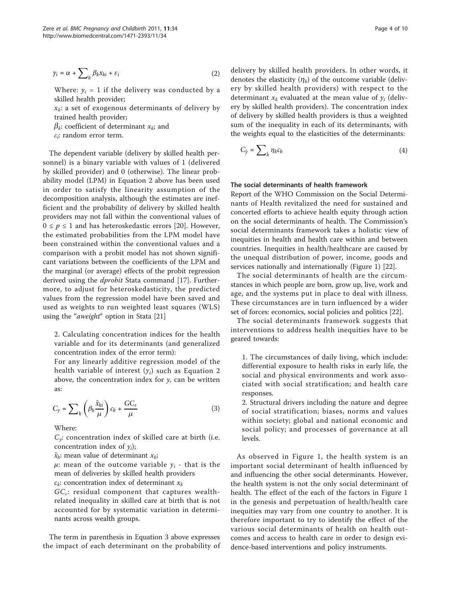$$
\gamma_i = \alpha + \sum_k \beta_k x_{ki} + \varepsilon_i \tag{2}
$$

Where:  $y_i = 1$  if the delivery was conducted by a skilled health provider;

 $x_k$ : a set of exogenous determinants of delivery by trained health provider;

 $\beta_k$ : coefficient of determinant  $x_k$ ; and

 $\varepsilon_i$ : random error term.

The dependent variable (delivery by skilled health personnel) is a binary variable with values of 1 (delivered by skilled provider) and 0 (otherwise). The linear probability model (LPM) in Equation 2 above has been used in order to satisfy the linearity assumption of the decomposition analysis, although the estimates are inefficient and the probability of delivery by skilled health providers may not fall within the conventional values of  $0 \le p \le 1$  and has heteroskedastic errors [[20\]](#page-8-0). However, the estimated probabilities from the LPM model have been constrained within the conventional values and a comparison with a probit model has not shown significant variations between the coefficients of the LPM and the marginal (or average) effects of the probit regression derived using the *dprobit* Stata command [\[17](#page-8-0)]. Furthermore, to adjust for heteroskedasticity, the predicted values from the regression model have been saved and used as weights to run weighted least squares (WLS) using the "*aweight*" option in Stata [\[21](#page-8-0)]

2. Calculating concentration indices for the health variable and for its determinants (and generalized concentration index of the error term):

For any linearly additive regression model of the health variable of interest  $(y_i)$  such as Equation 2 above, the concentration index for  $y$ , can be written as:

$$
C_{\gamma} = \sum_{k} \left( \beta_{k} \frac{\bar{x}_{ki}}{\mu} \right) c_{k} + \frac{GC_{\varepsilon}}{\mu}
$$
 (3)

Where:

 $C_y$ : concentration index of skilled care at birth (i.e. concentration index of  $y_i$ );

 $\bar{x}_k$ : mean value of determinant  $x_k$ ;

 $\mu$ : mean of the outcome variable  $y_i$  - that is the mean of deliveries by skilled health providers

 $c_k$ : concentration index of determinant  $x_k$ 

 $GC<sub>ε</sub>$ : residual component that captures wealthrelated inequality in skilled care at birth that is not accounted for by systematic variation in determinants across wealth groups.

The term in parenthesis in Equation 3 above expresses the impact of each determinant on the probability of delivery by skilled health providers. In other words, it denotes the elasticity  $(\eta_k)$  of the outcome variable (delivery by skilled health providers) with respect to the determinant  $x_k$  evaluated at the mean value of  $y_i$  (delivery by skilled health providers). The concentration index of delivery by skilled health providers is thus a weighted sum of the inequality in each of its determinants, with the weights equal to the elasticities of the determinants:

$$
C_{\hat{\gamma}} = \sum_{k} \eta_k c_k \tag{4}
$$

# The social determinants of health framework

Report of the WHO Commission on the Social Determinants of Health revitalized the need for sustained and concerted efforts to achieve health equity through action on the social determinants of health. The Commission's social determinants framework takes a holistic view of inequities in health and health care within and between countries. Inequities in health/healthcare are caused by the unequal distribution of power, income, goods and services nationally and internationally (Figure [1\)](#page-4-0) [\[22\]](#page-8-0).

The social determinants of health are the circumstances in which people are born, grow up, live, work and age, and the systems put in place to deal with illness. These circumstances are in turn influenced by a wider set of forces: economics, social policies and politics [[22](#page-8-0)].

The social determinants framework suggests that interventions to address health inequities have to be geared towards:

1. The circumstances of daily living, which include: differential exposure to health risks in early life, the social and physical environments and work associated with social stratification; and health care responses.

2. Structural drivers including the nature and degree of social stratification; biases, norms and values within society; global and national economic and social policy; and processes of governance at all levels.

As observed in Figure [1](#page-4-0), the health system is an important social determinant of health influenced by and influencing the other social determinants. However, the health system is not the only social determinant of health. The effect of the each of the factors in Figure [1](#page-4-0) in the genesis and perpetuation of health/health care inequities may vary from one country to another. It is therefore important to try to identify the effect of the various social determinants of health on health outcomes and access to health care in order to design evidence-based interventions and policy instruments.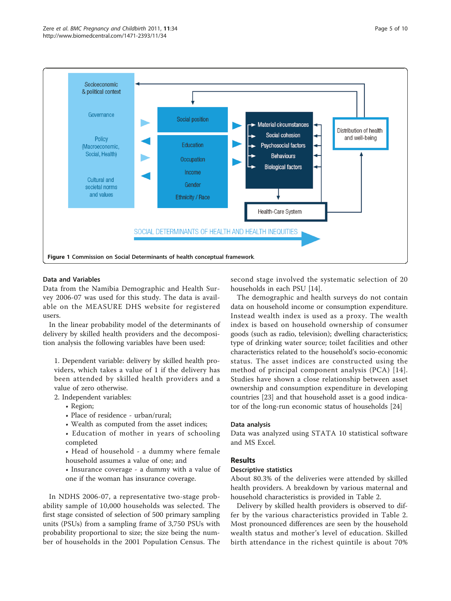<span id="page-4-0"></span>

# Data and Variables

Data from the Namibia Demographic and Health Survey 2006-07 was used for this study. The data is available on the MEASURE DHS website for registered users.

In the linear probability model of the determinants of delivery by skilled health providers and the decomposition analysis the following variables have been used:

1. Dependent variable: delivery by skilled health providers, which takes a value of 1 if the delivery has been attended by skilled health providers and a value of zero otherwise.

- 2. Independent variables:
	- Region;
	- Place of residence urban/rural;
	- Wealth as computed from the asset indices;
	- Education of mother in years of schooling completed

• Head of household - a dummy where female household assumes a value of one; and

• Insurance coverage - a dummy with a value of one if the woman has insurance coverage.

In NDHS 2006-07, a representative two-stage probability sample of 10,000 households was selected. The first stage consisted of selection of 500 primary sampling units (PSUs) from a sampling frame of 3,750 PSUs with probability proportional to size; the size being the number of households in the 2001 Population Census. The

second stage involved the systematic selection of 20 households in each PSU [\[14](#page-8-0)].

The demographic and health surveys do not contain data on household income or consumption expenditure. Instead wealth index is used as a proxy. The wealth index is based on household ownership of consumer goods (such as radio, television); dwelling characteristics; type of drinking water source; toilet facilities and other characteristics related to the household's socio-economic status. The asset indices are constructed using the method of principal component analysis (PCA) [[14\]](#page-8-0). Studies have shown a close relationship between asset ownership and consumption expenditure in developing countries [[23\]](#page-8-0) and that household asset is a good indicator of the long-run economic status of households [[24](#page-8-0)]

# Data analysis

Data was analyzed using STATA 10 statistical software and MS Excel.

# **Results**

# Descriptive statistics

About 80.3% of the deliveries were attended by skilled health providers. A breakdown by various maternal and household characteristics is provided in Table [2.](#page-5-0)

Delivery by skilled health providers is observed to differ by the various characteristics provided in Table [2](#page-5-0). Most pronounced differences are seen by the household wealth status and mother's level of education. Skilled birth attendance in the richest quintile is about 70%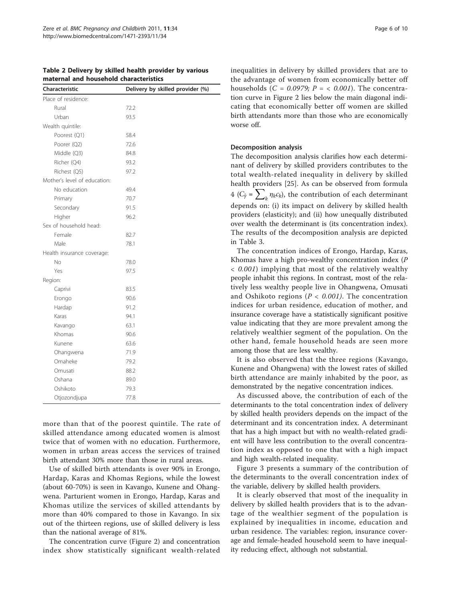| Characteristic               | Delivery by skilled provider (%) |
|------------------------------|----------------------------------|
| Place of residence:          |                                  |
| Rural                        | 72.2                             |
| Urban                        | 93.5                             |
| Wealth quintile:             |                                  |
| Poorest (Q1)                 | 58.4                             |
| Poorer (Q2)                  | 72.6                             |
| Middle (Q3)                  | 84.8                             |
| Richer (Q4)                  | 93.2                             |
| Richest (Q5)                 | 97.2                             |
| Mother's level of education: |                                  |
| No education                 | 49.4                             |
| Primary                      | 70.7                             |
| Secondary                    | 91.5                             |
| Higher                       | 96.2                             |
| Sex of household head:       |                                  |
| Female                       | 82.7                             |
| Male                         | 78.1                             |
| Health insurance coverage:   |                                  |
| No                           | 78.0                             |
| Yes                          | 97.5                             |
| Region:                      |                                  |
| Caprivi                      | 83.5                             |
| Erongo                       | 90.6                             |
| Hardap                       | 91.2                             |
| Karas                        | 94.1                             |
| Kavango                      | 63.1                             |
| Khomas                       | 90.6                             |
| Kunene                       | 63.6                             |
| Ohangwena                    | 71.9                             |
| Omaheke                      | 79.2                             |
| Omusati                      | 88.2                             |
| Oshana                       | 89.0                             |
| Oshikoto                     | 79.3                             |
| Otjozondjupa                 | 77.8                             |

<span id="page-5-0"></span>Table 2 Delivery by skilled health provider by various maternal and household characteristics

more than that of the poorest quintile. The rate of skilled attendance among educated women is almost twice that of women with no education. Furthermore, women in urban areas access the services of trained birth attendant 30% more than those in rural areas.

Use of skilled birth attendants is over 90% in Erongo, Hardap, Karas and Khomas Regions, while the lowest (about 60-70%) is seen in Kavango, Kunene and Ohangwena. Parturient women in Erongo, Hardap, Karas and Khomas utilize the services of skilled attendants by more than 40% compared to those in Kavango. In six out of the thirteen regions, use of skilled delivery is less than the national average of 81%.

The concentration curve (Figure [2](#page-6-0)) and concentration index show statistically significant wealth-related inequalities in delivery by skilled providers that are to the advantage of women from economically better off households ( $C = 0.0979$ ;  $P = \langle 0.001 \rangle$ . The concentration curve in Figure [2](#page-6-0) lies below the main diagonal indicating that economically better off women are skilled birth attendants more than those who are economically worse off.

### Decomposition analysis

The decomposition analysis clarifies how each determinant of delivery by skilled providers contributes to the total wealth-related inequality in delivery by skilled health providers [[25\]](#page-9-0). As can be observed from formula  $4 (C_{\hat{y}} = \sum$  $h_k$ <sup> $\eta_k c_k$ </sup>), the contribution of each determinant depends on: (i) its impact on delivery by skilled health providers (elasticity); and (ii) how unequally distributed over wealth the determinant is (its concentration index). The results of the decomposition analysis are depicted in Table [3.](#page-6-0)

The concentration indices of Erongo, Hardap, Karas, Khomas have a high pro-wealthy concentration index (P < 0.001) implying that most of the relatively wealthy people inhabit this regions. In contrast, most of the relatively less wealthy people live in Ohangwena, Omusati and Oshikoto regions ( $P < 0.001$ ). The concentration indices for urban residence, education of mother, and insurance coverage have a statistically significant positive value indicating that they are more prevalent among the relatively wealthier segment of the population. On the other hand, female household heads are seen more among those that are less wealthy.

It is also observed that the three regions (Kavango, Kunene and Ohangwena) with the lowest rates of skilled birth attendance are mainly inhabited by the poor, as demonstrated by the negative concentration indices.

As discussed above, the contribution of each of the determinants to the total concentration index of delivery by skilled health providers depends on the impact of the determinant and its concentration index. A determinant that has a high impact but with no wealth-related gradient will have less contribution to the overall concentration index as opposed to one that with a high impact and high wealth-related inequality.

Figure [3](#page-7-0) presents a summary of the contribution of the determinants to the overall concentration index of the variable, delivery by skilled health providers.

It is clearly observed that most of the inequality in delivery by skilled health providers that is to the advantage of the wealthier segment of the population is explained by inequalities in income, education and urban residence. The variables: region, insurance coverage and female-headed household seem to have inequality reducing effect, although not substantial.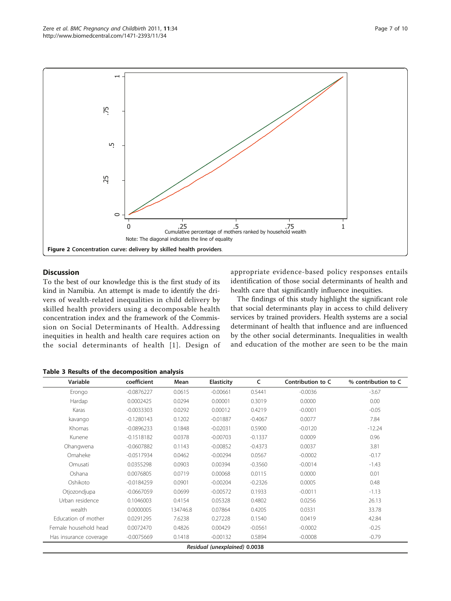<span id="page-6-0"></span>

# **Discussion**

To the best of our knowledge this is the first study of its kind in Namibia. An attempt is made to identify the drivers of wealth-related inequalities in child delivery by skilled health providers using a decomposable health concentration index and the framework of the Commission on Social Determinants of Health. Addressing inequities in health and health care requires action on the social determinants of health [[1\]](#page-8-0). Design of appropriate evidence-based policy responses entails identification of those social determinants of health and health care that significantly influence inequities.

The findings of this study highlight the significant role that social determinants play in access to child delivery services by trained providers. Health systems are a social determinant of health that influence and are influenced by the other social determinants. Inequalities in wealth and education of the mother are seen to be the main

|  |  |  | Table 3 Results of the decomposition analysis |  |
|--|--|--|-----------------------------------------------|--|
|--|--|--|-----------------------------------------------|--|

| Variable                      | coefficient  | Mean     | <b>Elasticity</b> | c         | Contribution to C | % contribution to C |  |  |
|-------------------------------|--------------|----------|-------------------|-----------|-------------------|---------------------|--|--|
| Erongo                        | $-0.0876227$ | 0.0615   | $-0.00661$        | 0.5441    | $-0.0036$         | $-3.67$             |  |  |
| Hardap                        | 0.0002425    | 0.0294   | 0.00001           | 0.3019    | 0.0000            | 0.00                |  |  |
| Karas                         | $-0.0033303$ | 0.0292   | 0.00012           | 0.4219    | $-0.0001$         | $-0.05$             |  |  |
| kavango                       | $-0.1280143$ | 0.1202   | $-0.01887$        | $-0.4067$ | 0.0077            | 7.84                |  |  |
| Khomas                        | $-0.0896233$ | 0.1848   | $-0.02031$        | 0.5900    | $-0.0120$         | $-12.24$            |  |  |
| Kunene                        | $-0.1518182$ | 0.0378   | $-0.00703$        | $-0.1337$ | 0.0009            | 0.96                |  |  |
| Ohangwena                     | $-0.0607882$ | 0.1143   | $-0.00852$        | $-0.4373$ | 0.0037            | 3.81                |  |  |
| Omaheke                       | $-0.0517934$ | 0.0462   | $-0.00294$        | 0.0567    | $-0.0002$         | $-0.17$             |  |  |
| Omusati                       | 0.0355298    | 0.0903   | 0.00394           | $-0.3560$ | $-0.0014$         | $-1.43$             |  |  |
| Oshana                        | 0.0076805    | 0.0719   | 0.00068           | 0.0115    | 0.0000            | 0.01                |  |  |
| Oshikoto                      | $-0.0184259$ | 0.0901   | $-0.00204$        | $-0.2326$ | 0.0005            | 0.48                |  |  |
| Otjozondjupa                  | $-0.0667059$ | 0.0699   | $-0.00572$        | 0.1933    | $-0.0011$         | $-1.13$             |  |  |
| Urban residence               | 0.1046003    | 0.4154   | 0.05328           | 0.4802    | 0.0256            | 26.13               |  |  |
| wealth                        | 0.0000005    | 134746.8 | 0.07864           | 0.4205    | 0.0331            | 33.78               |  |  |
| Education of mother           | 0.0291295    | 7.6238   | 0.27228           | 0.1540    | 0.0419            | 42.84               |  |  |
| Female household head         | 0.0072470    | 0.4826   | 0.00429           | $-0.0561$ | $-0.0002$         | $-0.25$             |  |  |
| Has insurance coverage        | $-0.0075669$ | 0.1418   | $-0.00132$        | 0.5894    | $-0.0008$         | $-0.79$             |  |  |
| Residual (unexplained) 0.0038 |              |          |                   |           |                   |                     |  |  |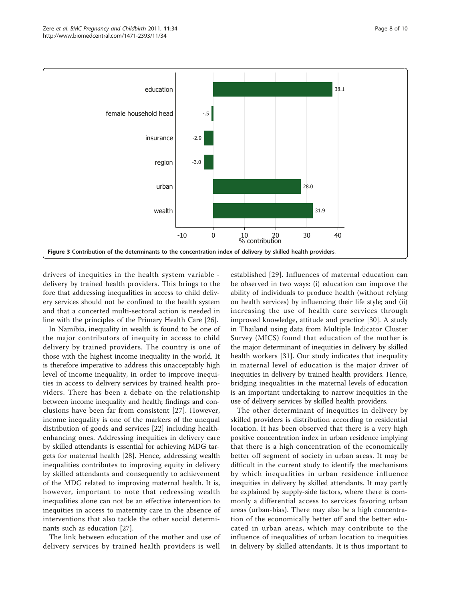<span id="page-7-0"></span>

drivers of inequities in the health system variable delivery by trained health providers. This brings to the fore that addressing inequalities in access to child delivery services should not be confined to the health system and that a concerted multi-sectoral action is needed in line with the principles of the Primary Health Care [\[26](#page-9-0)].

In Namibia, inequality in wealth is found to be one of the major contributors of inequity in access to child delivery by trained providers. The country is one of those with the highest income inequality in the world. It is therefore imperative to address this unacceptably high level of income inequality, in order to improve inequities in access to delivery services by trained health providers. There has been a debate on the relationship between income inequality and health; findings and conclusions have been far from consistent [[27](#page-9-0)]. However, income inequality is one of the markers of the unequal distribution of goods and services [[22](#page-8-0)] including healthenhancing ones. Addressing inequities in delivery care by skilled attendants is essential for achieving MDG targets for maternal health [[28\]](#page-9-0). Hence, addressing wealth inequalities contributes to improving equity in delivery by skilled attendants and consequently to achievement of the MDG related to improving maternal health. It is, however, important to note that redressing wealth inequalities alone can not be an effective intervention to inequities in access to maternity care in the absence of interventions that also tackle the other social determinants such as education [[27](#page-9-0)].

The link between education of the mother and use of delivery services by trained health providers is well

established [[29\]](#page-9-0). Influences of maternal education can be observed in two ways: (i) education can improve the ability of individuals to produce health (without relying on health services) by influencing their life style; and (ii) increasing the use of health care services through improved knowledge, attitude and practice [[30\]](#page-9-0). A study in Thailand using data from Multiple Indicator Cluster Survey (MICS) found that education of the mother is the major determinant of inequities in delivery by skilled health workers [\[31](#page-9-0)]. Our study indicates that inequality in maternal level of education is the major driver of inequities in delivery by trained health providers. Hence, bridging inequalities in the maternal levels of education is an important undertaking to narrow inequities in the use of delivery services by skilled health providers.

The other determinant of inequities in delivery by skilled providers is distribution according to residential location. It has been observed that there is a very high positive concentration index in urban residence implying that there is a high concentration of the economically better off segment of society in urban areas. It may be difficult in the current study to identify the mechanisms by which inequalities in urban residence influence inequities in delivery by skilled attendants. It may partly be explained by supply-side factors, where there is commonly a differential access to services favoring urban areas (urban-bias). There may also be a high concentration of the economically better off and the better educated in urban areas, which may contribute to the influence of inequalities of urban location to inequities in delivery by skilled attendants. It is thus important to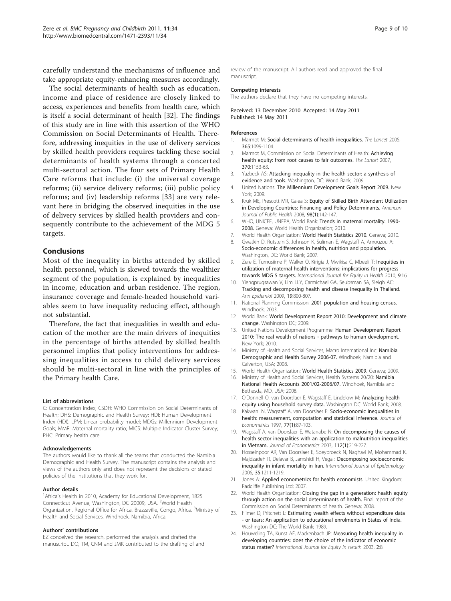<span id="page-8-0"></span>carefully understand the mechanisms of influence and take appropriate equity-enhancing measures accordingly.

The social determinants of health such as education, income and place of residence are closely linked to access, experiences and benefits from health care, which is itself a social determinant of health [[32\]](#page-9-0). The findings of this study are in line with this assertion of the WHO Commission on Social Determinants of Health. Therefore, addressing inequities in the use of delivery services by skilled health providers requires tackling these social determinants of health systems through a concerted multi-sectoral action. The four sets of Primary Health Care reforms that include: (i) the universal coverage reforms; (ii) service delivery reforms; (iii) public policy reforms; and (iv) leadership reforms [\[33](#page-9-0)] are very relevant here in bridging the observed inequities in the use of delivery services by skilled health providers and consequently contribute to the achievement of the MDG 5 targets.

# Conclusions

Most of the inequality in births attended by skilled health personnel, which is skewed towards the wealthier segment of the population, is explained by inequalities in income, education and urban residence. The region, insurance coverage and female-headed household variables seem to have inequality reducing effect, although not substantial.

Therefore, the fact that inequalities in wealth and education of the mother are the main drivers of inequities in the percentage of births attended by skilled health personnel implies that policy interventions for addressing inequalities in access to child delivery services should be multi-sectoral in line with the principles of the Primary health Care.

#### List of abbreviations

C: Concentration index; CSDH: WHO Commission on Social Determinants of Health; DHS: Demographic and Health Survey; HDI: Human Development Index (HDI); LPM: Linear probability model; MDGs: Millennium Development Goals; MMR: Maternal mortality ratio; MICS: Multiple Indicator Cluster Survey; PHC: Primary health care

#### Acknowledgements

The authors would like to thank all the teams that conducted the Namibia Demographic and Health Survey. The manuscript contains the analysis and views of the authors only and does not represent the decisions or stated policies of the institutions that they work for.

#### Author details

<sup>1</sup> Africa's Health in 2010, Academy for Educational Development, 1825 Connecticut Avenue, Washington, DC 20009, USA. <sup>2</sup>World Health Organization, Regional Office for Africa, Brazzaville, Congo, Africa. <sup>3</sup>Ministry of Health and Social Services, Windhoek, Namibia, Africa.

#### Authors' contributions

EZ conceived the research, performed the analysis and drafted the manuscript. DO, TM, CNM and JMK contributed to the drafting of and

review of the manuscript. All authors read and approved the final manuscript.

#### Competing interests

The authors declare that they have no competing interests.

Received: 13 December 2010 Accepted: 14 May 2011 Published: 14 May 2011

#### References

- 1. Marmot M: Social determinants of health inequalities. The Lancet 2005, 365:1099-1104.
- 2. Marmot M, Commission on Social Determinants of Health: Achieving health equity: from root causes to fair outcomes. The Lancet 2007, 370:1153-63.
- 3. Yazbeck AS: Attacking inequality in the health sector: a synthesis of evidence and tools. Washington, DC: World Bank; 2009.
- 4. United Nations: The Millennium Development Goals Report 2009. New York; 2009.
- 5. Kruk ME, Prescott MR, Galea S: [Equity of Skilled Birth Attendant Utilization](http://www.ncbi.nlm.nih.gov/pubmed/18048785?dopt=Abstract) [in Developing Countries: Financing and Policy Determinants.](http://www.ncbi.nlm.nih.gov/pubmed/18048785?dopt=Abstract) American Journal of Public Health 2008, 98(1):142-147.
- 6. WHO, UNICEF, UNFPA, World Bank: Trends in maternal mortality: 1990- 2008. Geneva: World Health Organization; 2010.
- 7. World Health Organization: World Health Statistics 2010. Geneva; 2010.
- 8. Gwatkin D, Rutstein S, Johnson K, Suliman E, Wagstaff A, Amouzou A: Socio-economic differences in health, nutrition and population. Washington, DC: World Bank; 2007.
- 9. Zere E, Tumusiime P, Walker O, Kirigia J, Mwikisa C, Mbeeli T: [Inequities in](http://www.ncbi.nlm.nih.gov/pubmed/20540793?dopt=Abstract) [utilization of maternal health interventions: implications for progress](http://www.ncbi.nlm.nih.gov/pubmed/20540793?dopt=Abstract) [towards MDG 5 targets.](http://www.ncbi.nlm.nih.gov/pubmed/20540793?dopt=Abstract) International Journal for Equity in Health 2010, 9:16.
- 10. Yiengprugsawan V, Lim LLY, Carmichael GA, Seubsman SA, Sleigh AC: [Tracking and decomposing health and disease inequality in Thailand.](http://www.ncbi.nlm.nih.gov/pubmed/19560371?dopt=Abstract) Ann Epidemiol 2009, 19:800-807
- 11. National Planning Commission: 2001 population and housing census. Windhoek; 2003.
- 12. World Bank: World Development Report 2010: Development and climate change. Washington DC; 2009.
- 13. United Nations Development Programme: Human Development Report 2010: The real wealth of nations - pathways to human development. New York; 2010.
- 14. Ministry of Health and Social Services, Macro International Inc: Namibia Demographic and Health Survey 2006-07. Windhoek, Namibia and Calverton, USA; 2008.
- 15. World Health Organization: World Health Statistics 2009. Geneva; 2009.
- 16. Ministry of Health and Social Services, Health Systems 20/20: Namibia National Health Accounts 2001/02-2006/07. Windhoek, Namibia and Bethesda, MD, USA; 2008.
- 17. O'Donnell O, van Doorslaer E, Wagstaff E, Lindelow M: Analyzing health equity using household survey data. Washington DC: World Bank; 2008.
- 18. Kakwani N, Wagstaff A, van Doorslaer E: Socio-economic inequalities in health: measurement, computation and statistical inference. Journal of Econometrics 1997, 77(1):87-103.
- 19. Wagstaff A, van Doorslaer E, Watanabe N: On decomposing the causes of health sector inequalities with an application to malnutrition inequalities in Vietnam. Journal of Econometrics 2003, 112(1):219-227.
- 20. Hosseinpoor AR, Van Doorslaer E, Speybroeck N, Naghavi M, Mohammad K, Majdzadeh R, Delavar B, Jamshidi H, Vega : [Decomposing socioeconomic](http://www.ncbi.nlm.nih.gov/pubmed/16987848?dopt=Abstract) [inequality in infant mortality in Iran.](http://www.ncbi.nlm.nih.gov/pubmed/16987848?dopt=Abstract) International Journal of Epidemiology 2006, 35:1211-1219.
- 21. Jones A: Applied econometrics for health economists. United Kingdom: Radcliffe Publishing Ltd; 2007.
- 22. World Health Organization: Closing the gap in a generation: health equity through action on the social determinants of health. Final report of the Commission on Social Determinants of health. Geneva; 2008.
- 23. Filmer D, Pritchett L: Estimating wealth effects without expenditure data - or tears: An application to educational enrolments in States of India. Washington DC: The World Bank; 1989.
- 24. Houweling TA, Kunst AE, Mackenbach JP: [Measuring health inequality in](http://www.ncbi.nlm.nih.gov/pubmed/14609435?dopt=Abstract) [developing countries: does the choice of the indicator of economic](http://www.ncbi.nlm.nih.gov/pubmed/14609435?dopt=Abstract) [status matter?](http://www.ncbi.nlm.nih.gov/pubmed/14609435?dopt=Abstract) International Journal for Equity in Health 2003, 2:8.